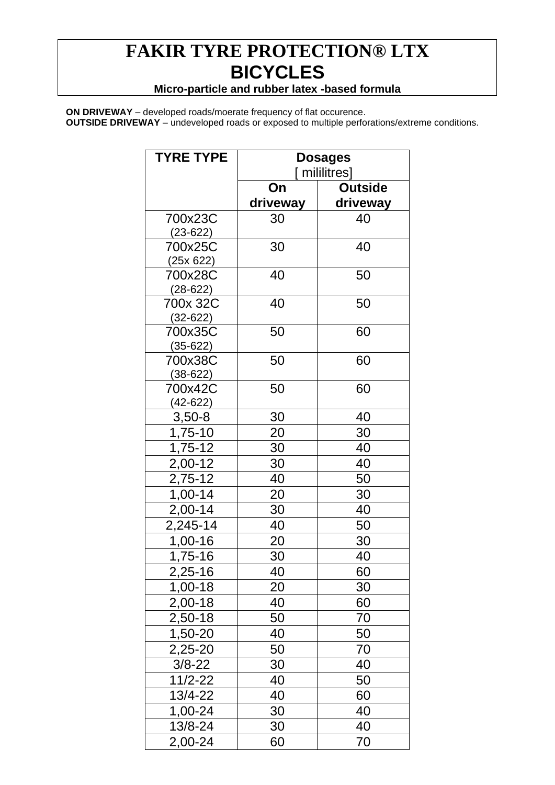## **FAKIR TYRE PROTECTION® LTX BICYCLES**

## **Micro-particle and rubber latex -based formula**

**ON DRIVEWAY** – developed roads/moerate frequency of flat occurence. **OUTSIDE DRIVEWAY** – undeveloped roads or exposed to multiple perforations/extreme conditions.

| <b>TYRE TYPE</b>        | <b>Dosages</b><br>mililitres] |                |
|-------------------------|-------------------------------|----------------|
|                         |                               |                |
|                         | On                            | <b>Outside</b> |
|                         | driveway                      | driveway       |
| 700x23C                 | 30                            | 40             |
| $(23-622)$              |                               |                |
| 700x25C                 | 30                            | 40             |
| (25x 622)               |                               |                |
| 700x28C                 | 40                            | 50             |
| $(28-622)$              |                               |                |
| 700x 32C                | 40                            | 50             |
| $(32 - 622)$<br>700x35C | 50                            | 60             |
| $(35-622)$              |                               |                |
| 700x38C                 | 50                            | 60             |
| $(38-622)$              |                               |                |
| 700x42C                 | 50                            | 60             |
| $(42 - 622)$            |                               |                |
| $3,50-8$                | 30                            | 40             |
| 1,75-10                 | 20                            | 30             |
| 1,75-12                 | 30                            | 40             |
| 2,00-12                 | 30                            | 40             |
| 2,75-12                 | 40                            | 50             |
| 1,00-14                 | 20                            | 30             |
| $2,00-14$               | 30                            | 40             |
| 2,245-14                | 40                            | 50             |
| 1,00-16                 | 20                            | 30             |
| 1,75-16                 | 30                            | 40             |
| 2,25-16                 | 40                            | 60             |
| 1,00-18                 | 20                            | 30             |
| 2,00-18                 | 40                            | 60             |
| 2,50-18                 | 50                            | 70             |
| 1,50-20                 | 40                            | 50             |
| 2,25-20                 | 50                            | 70             |
| $3/8 - 22$              | 30                            | 40             |
| $11/2 - 22$             | 40                            | 50             |
| 13/4-22                 | 40                            | 60             |
| 1,00-24                 | 30                            | 40             |
| 13/8-24                 | 30                            | 40             |
| 2,00-24                 | 60                            | 70             |